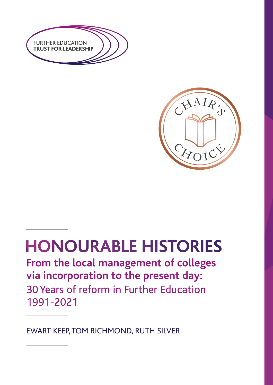



# **HONOURABLE HISTORIES**

**From the local management of colleges via incorporation to the present day:** 30Years of reform in Further Education 1991-2021

EWART KEEP,TOM RICHMOND, RUTH SILVER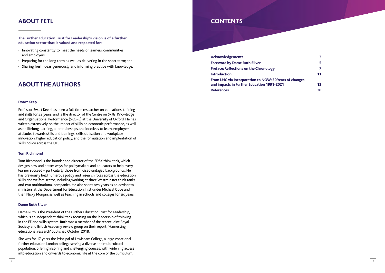2

### **CONTENTS**

**Foreword by Dame Ruth Silver Preface: Reflections on the Chronology Introduction From LMC via Incorporation to NOW: 30Years of changes and impacts in Further Education 1991-2021 13 References** 30

**Acknowledgements** 

|         | 3  |
|---------|----|
|         | 5  |
|         | 7  |
|         | 11 |
| hanges: |    |
|         | 13 |

#### **Ewart Keep**

Professor Ewart Keep has been a full-time researcher on educations, training and skills for 32 years, and is the director of the Centre on Skills, Knowledge and Organisational Performance (SKOPE) at the University of Oxford. He has written extensively on the impact of skills on economic performance, as well as on lifelong learning, apprenticeships, the incetives to learn, employers' attitudes towards skills and trainings, skills utilisation and workplace innovation, higher education policy, and the formulation and implentation of skills policy across the UK.

#### **Tom Richmond**

Tom Richmond is the founder and director of the EDSK think tank, which designs new and better ways for policymakers and educators to help every learner succeed – particularly those from disadvantaged backgrounds. He has previously held numerous policy and research roles across the education, skills and welfare sector, including working at three Westminster think tanks and two multinational companies. He also spent two years as an advisor to ministers at the Department for Education, first under Michael Gove and then Nicky Morgan, as well as teaching in schools and colleges for six years.

#### **Dame Ruth Silver**

Dame Ruth is the President of the Further Education Trust for Leadership, which is an independent think tank focusing on the leadership of thinking in the FE and skills system. Ruth was a member of the recent joint Royal Society and British Academy review group on their report, 'Harnessing educational research' published October 2018.

She was for 17 years the Principal of Lewisham College, a large vocational further education London college serving a diverse and multicultural population, offering inspiring and challenging courses, with widening access into education and onwards to economic life at the core of the curriculum.

## **ABOUT FETL**

## **ABOUT THE AUTHORS**

**The Further Education Trust for Leadership's vision is of a further education sector that is valued and respected for:**

- Innovating constantly to meet the needs of learners, communities and employers;
- Preparing for the long term as well as delivering in the short term; and
- Sharing fresh ideas generously and informing practice with knowledge.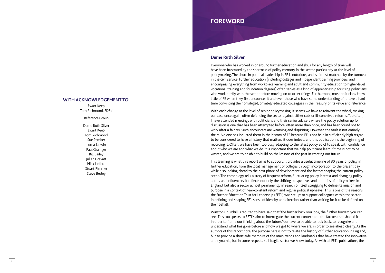### **FOREWORD**

#### **Dame Ruth Silver**

Everyone who has worked in or around further education and skills for any length of time will have been frustrated by the shortness of policy memory in the sector, particularly at the level of policymaking. The churn in political leadership in FE is notorious, and is almost matched by the turnover in the civil service. Further education (including colleges and independent training providers, and encompassing everything from workplace learning and adult and community education to higher-level vocational training and foundation degrees) often serves as a kind of apprenticeship for rising politicians who work briefly with the sector before moving on to other things. Furthermore, most politicians know little of FE when they first encounter it and even those who have some understanding of it have a hard time convincing their privileged, privately educated colleagues in the Treasury of its value and relevance.

With each change at the level of senior policymaking, it seems we have to reinvent the wheel, making our case once again, often defending the sector against either cuts or ill-conceived reforms. Too often, I have attended meetings with politicians and their senior advisers where the policy solution up for discussion is one that has been attempted before, often more than once, and has been found not to work after a fair try. Such encounters are wearying and dispiriting. However, the fault is not entirely theirs. No one has inducted them in the history of FE because FE is not held in sufficiently high regard to be considered to have a history that matters: it does indeed, and this publication is the beginning of recording it. Often, we have been too busy adapting to the latest policy edict to speak with confidence about who we are and what we do. It is important that we help politicians learn if time is not to be wasted, and we are to be able to build on the lessons of the past in creating our future.

This learning is what this report aims to support. It provides a useful timeline of 30 years of policy in further education, from the local management of colleges through incorporation to the present day, while also looking ahead to the next phase of development and the factors shaping the current policy scene. The chronology tells a story of frequent reform, fluctuating policy interest and changing policy actors and influencers. It reflects not only the shifting perspectives and priorities of policymakers in England, but also a sector almost permanently in search of itself, struggling to define its mission and purpose in a context of near-constant reform and regular political upheaval. This is one of the reasons the Further Education Trust for Leadership (FETL) was set up: to support colleagues within the sector in defining and shaping FE's sense of identity and direction, rather than waiting for it to be defined on their behalf.

Winston Churchill is reputed to have said that 'the further back you look, the further forward you can see'. This too speaks to FETL's aim to interrogate the current context and the factors that shaped it in order to frame our thinking about the future. You have to be able to look back, to recognize and understand what has gone before and how we got to where we are, in order to see ahead clearly. As the authors of this report note, the purpose here is not to relate the history of further education in England, but to provide a short aide memoire of the main trends and landmarks that have created the innovative and dynamic, but in some respects still fragile sector we know today. As with all FETL publications, the

### **WITH ACKNOWLEDGEMENT TO:**

Ewart Keep Tom Richmond, EDSK

#### **Reference Group**

Dame Ruth Silver Ewart Keep Tom Richmond Sue Pember Lorna Unwin Paul Grainger Bill Bailey Julian Gravatt Nick Linford Stuart Rimmer Steve Besley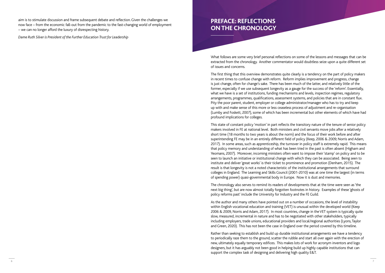### **PREFACE: REFLECTIONS ON THE CHRONOLOGY**

What follows are some very brief personal reflections on some of the lessons and messages that can be extracted from the chronology. Another commentator would doubtless seize upon a quite different set of issues and concerns.

The first thing that this overview demonstrates quite clearly is a tendency on the part of policy makers in recent times to confuse change with reform. Reform implies improvement and progress, change is just change, often for change's sake. There has been much of the latter, and relatively little of the former, especially if we use subsequent longevity as a gauge for the success of the 'reform'. Essentially, what we have is a set of institutions, funding mechanisms and levels, inspection regimes, regulatory arrangements, programmes, qualifications, assessment systems, and policies that are in constant flux. Pity the poor parent, student, employer or college administrator/manager who has to try and keep up with and make sense of this more or less ceaseless process of adjustment and re-organisation (Lumby and Foskett, 2007), some of which has been incremental but other elements of which have had profound implications for colleges.

This state of constant policy 'motion' in part reflects the transitory nature of the tenure of senior policy makers involved in FE at national level. Both ministers and civil servants move jobs after a relatively short time (18 months to two years is about the norm) and the focus of their work before and after superintending FE may be in an entirely different field of policy (Keep, 2006 & 2009; Norris and Adam, 2017). In some areas, such as apprenticeship, the turnover in policy staff is extremely rapid. This means that policy memory and understanding of what has been tried in the past is often absent (Higham and Yeomans, 2007). Moreover, incoming ministers often want to impose their 'stamp' on policy and to be seen to launch an initiative or institutional change with which they can be associated. Being seen to institute and deliver 'great works' is their ticket to prominence and promotion (Denham, 2015). The result is that longevity is not a noted characteristic of the institutional arrangements that surround colleges in England. The Learning and Skills Council (2001-2010) was at one time the largest (in terms of spending power) quasi-governmental body in Europe. Now it is dust and memories.

The chronology also serves to remind its readers of developments that at the time were seen as 'the next big thing', but are now almost totally forgotten footnotes in history. Examples of these 'ghosts of policy reforms past' include the University for Industry and the FE Guild.

As the author and many others have pointed out on a number of occasions, the level of instability within English vocational education and training (VET) is unusual within the developed world (Keep 2006 & 2009, Norris and Adam, 2017). In most countries, change in the VET system is typically quite slow, measured, incremental in nature and has to be negotiated with other stakeholders, typically including employers, trade unions, educational providers and local/regional authorities (Lyons, Taylor and Green, 2020). This has not been the case in England over the period covered by this timeline.

Rather than seeking to establish and build up durable institutional arrangements we have a tendency to periodically raze them to the ground, scatter the rubble and start all over again with the erection of new, ultimately equally temporary edifices. This makes lots of work for acronym inventors and logo designers, but it has arguably not been good in helping build up highly capable institutions that can support the complex task of designing and delivering high quality E&T.

aim is to stimulate discussion and frame subsequent debate and reflection. Given the challenges we now face – from the economic fall-out from the pandemic to the fast-changing world of employment – we can no longer afford the luxury of disrespecting history.

*Dame Ruth Silver is President of the Further Education Trust for Leadership*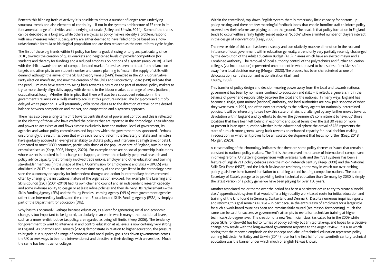Within the centralised, top-down English system there is remarkably little capacity for bottom-up policy making, and there are few meaningful feedback loops that enable frontline staff to inform policy makers how their reforms are playing out on the ground. The result is that policy formation in England tends to occur within a fairly tightly sealed national 'bubble' where a limited number of players interact in the design of interventions (Keep, 2006).

The reverse side of this coin has been a steady and cumulatively massive diminution in the role and influence of local government within education generally, a trend only very partially recently challenged by the devolution of the Adult Education Budget (AEB) in areas which have an elected mayor and a Combined Authority. The removal of local authority control of the polytechnics and further education colleges (via incorporation) represented one moment in what proved to be a series of decisive shifts away from local decision making (Morgan, 2020). The process has been characterised as one of delocalisation, centralisation and nationalisation (Bash and Coulby, 1989).

This transfer of policy design and decision-making power away from the local and towards national government has been by no means confined to education and skills – it reflects a general shift in the balance of power and responsibility between the local and the national. In many ways, England has become a single, giant unitary (national) authority, and local authorities are now pale shadows of what they were even in 1991, and often now act merely as the delivery agents for nationally-determined policies. It will be interesting to see how this state of affairs is challenged by any further moves towards devolution within England and by efforts to deliver the government's commitment to 'level up' those localities that have been left behind in economic and social terms over the last 30 years or more. At present it is an open question whether in the educational sphere the arrival of AEB represents the start of a much more general swing back towards an enhanced capacity for local decision-making in education, or whether it proves to be an isolated development that leads no further (Keep, 2018; Morgan, 2020).

A close reading of the chronology indicates that there are some policy themes or issues that remain a constant to national policy makers. The first is the perceived importance of international comparisons in driving reform. Unflattering comparisons with overseas rivals and their VET systems has been a feature of English VET policy debates since the mid-nineteenth century (Keep, 2008) and the National Skills Task Force (NSTF) and the Leitch Review are testimony to the way in which our over-arching policy goals here been framed in relation to catching up and beating competitor nations. The current Secretary of State's pledge to be providing better technical education than Germany by 2030 is simply the latest version of a policy game we have been playing for over 150 years.

Another associated major theme over the period has been a persistent desire to try to create a 'worldclass' apprenticeship system that would offer a high quality work-based route for initial education and training of the kind found in Germany, Switzerland and Denmark. Despite numerous inquiries, reports and reforms, this goal remains elusive – in part because the enthusiasm of employers for a larger role for such a work-based route has been and remains fairly muted (see Mason, forthcoming). Much the same can be said for successive government's attempts to revitalise technician training at higher technical/sub-degree level. The creation of a new 'technician class' (as called for in the 2009 white paper Skills for Growth) has led to flurries of policy activity but limited take-up, and hopes for a decisive change now reside with the long-awaited government response to the Augar Review. It is also worth noting that the renewed emphasis on the concept and label of technical education represents policy coming full circle. As Bailey and Unwin (2014) note, for the first half of the twentieth century technical education was the banner under which much of English FE was known.

Beneath this blinding froth of activity it is possible to detect a number of longer-term underlying structural trends and also elements of continuity – if not in the systems architecture of FE then in its fundamental range of activities and underlying rationale (Bailey and Unwin, 2014). Some of the trends can be described as a long arc, while others are cycles as policy makers identify a problem, respond with new measures which subsequently are either deemed to have failed or to be based on a nowunfashionable formula or ideological proposition and are then replaced as the next 'reform' cycle begins.

The first of these big trends within FE policy has been a gradual swing or long arc, particularly since 2010, towards the creation of quasi-markets and heightened levels of provider competition (for students and thereby for funding) and a reduced emphasis on notions of a system (Keep, 2018). Allied with the shift towards the use of competition and market forces has been a retreat from reliance on targets and attempts to use student number and course planning to 'match' the supply of skills with demand, although the arrival of the Skills Advisory Panels (SAPs) heralded in the 2017 Conservative Party election manifesto, and now the creation of the Skills and Productivity Board (SPB) indicate that the pendulum may have started to swing back towards a desire on the part of national policy makers to try to more closely align skills supply with demand in the labour market at a range of levels (national, occupational, local). Whether this implies that there will also be a subsequent reduction in the government's reliance on a 'skills marketplace' is at this juncture unclear. The long-promised but oftdelayed white paper on FE will presumably offer some clues as to the direction of travel on the desired balance between competition and market, and cooperation and a systems approach.

There has also been a long-term drift towards centralisation of power and control, and this is reflected in the identity of those who have crafted the policies that are reported in the chronology. Their identity and power to act exists at and flows almost exclusively from the national level of government, its agencies and various policy commissions and inquiries which the government has sponsored. Perhaps unsurprisingly, the result has been that with each round of reform the Secretary of State and ministers have gradually acquired an ever-greater ability to dictate policy and intervene at a high level of detail. Compared to most OECD countries, particularly those of the population size of England, ours is a very centralised set up (Keep, 2006, Morgan, 2020). For example, there are no social partnership institutions whose assent is required before change can happen, and even the relatively peripheral research and policy advice capacity that formally involved trade unions, employer and other education and training stakeholder members (in the shape of the UK Commission for Employment and Skills – UKCES) was abolished in 2017. It is also the case that over time many of the changes listed in the chronology have seen the autonomy or capacity for independent thought and action in intermediary bodies removed, often by changing the institutional nature of the organisation involved. For example, the Learning and Skills Council (LSC) (2001-2010) had its own chair and council and an independent research capacity and some in-house ability to design or at least refine policies and their delivery. Its replacements – the Skills Funding Agency (SFA) and the Young Peoples Learning Agency (YPLA) were government agencies rather than intermediary bodies, and the current Education and Skills Funding Agency (ESFA) is simply a part of the Department for Education (DfE).

Why has this occurred? Perhaps because education, as a lever for generating social and economic change, is too important to be ignored, particularly in an era in which many other traditional levers, such as a more re-distributive tax policy, are regarded as being 'off limits' (Keep, 2006). The tendency for government to want to intervene in and control education at all levels is now certainly very strong in England. As Shattock and Horvath (2020) demonstrate in relation to higher education, the pressure to brigade it in support of a range of economic and social policy goals has driven governments across the UK to seek ways to be more interventionist and directive in their dealings with universities. Much the same has been true for colleges.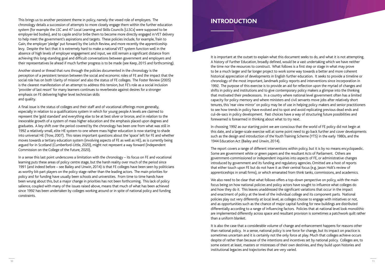It is important at the outset to explain what this document seeks to do, and what it is not attempting. A history of Further Education, broadly defined, would be a vast undertaking which we have neither the time nor the resources to construct. What follows is a first step or stage in what may prove to be a much larger and far longer project to work some way towards a better and more coherent historical appreciation of developments in English further education. It seeks to provide a timeline or chronology of the most important, landmark policy reports and interventions since incorporation in 1992. The purpose of this exercise is to provide an aid for reflection upon the myriad of changes and shifts in policy and institutions and to give contemporary policy makers a glimpse into the thinking that motivated their predecessors. In a country where national level government often has a limited capacity for policy memory and where ministers and civil servants move jobs after relatively short tenures, this 'rear view mirror' on policy may be of use in helping policy makers and senior practitioners to see how trends in policy have evolved and to spot and avoid replicating previous dead ends and cul-de-sacs in policy development. Past choices have a way of structuring future possibilities and forewarned is forearmed in thinking about what to try next.

In choosing 1992 as our starting point we are conscious that the world of FE policy did not begin at this date, and a larger-scale exercise will at some point need to go back further and cover developments such as the design and introduction of the Youth Training Scheme (YTS) in the early 1980s, and the 1944 Education Act (Bailey and Unwin, 2014).

We also need to be clear that what follows offers a top-down perspective on policy, with the main focus being on how national policies and policy actors have sought to influence what colleges do and how they do it. This leaves unaddressed the significant variations that occur in the impact and enactment of policy at the level of the individual college and its component parts. National policies play out very differently at local level, as colleges choose to engage with initiatives or not, and as opportunities such as the chance of major capital funding for new buildings are distributed differentially according to a range of influencing factors. Policies that at national level look monolithic are implemented differently across space and resultant provision is sometimes a patchwork quilt rather than a uniform blanket.

The report covers a range of different interventions within policy, but it is by no means encyclopaedic. Some are government white or green papers and the resultant Acts of Parliament. Others are government-commissioned or independent inquiries into aspects of FE, or administrative changes introduced by government and its funding and regulatory agencies. Omitted are a host of reports that either touch upon FE but do not have it as their central focus (e.g. Jason Holt's review of apprenticeships in small firms), or which emanated from think tanks, commissions, and academics.

It is also the case that a considerable volume of change and enhancement happens for reasons other than national policy. In a sense, national policy is one force for change, but its impact on practice is sometimes uncertain and it is certainly not the only force at play. Much that colleges achieve occurs despite of rather than because of the intentions and incentives set by national policy. Colleges are, to some extent at least, masters or mistresses of their own destinies, and they build upon histories and institutional legacies and trajectories that are very varied.

This brings us to another persistent theme in policy, namely the vexed role of employers. The chronology details a succession of attempts to more closely engage them within the further education system (for example the LSC and 47 Local Learning and Skills Councils [LLSCs] were supposed to be employer-led bodies), and to cajole and/or bribe them to become more directly engaged in VET delivery to help meet the government's aspirations and targets. These policies include, for example, Train to Gain, the employer 'pledge' put forward by the Leitch Review, and more recently the apprenticeship levy. Despite the fact that it is extremely hard to make a national VET system function well in the absence of high levels of employer engagement and input, we still remain a significant distance from achieving this long-standing goal and difficult conversations between government and employers and their representatives lie ahead if much further progress is to be made (see Keep, 2015 and forthcoming).

Another strand or thread that runs through the policies documented in the chronology is the perception of a persistent tension between the social and economic roles of FE and the impact that the social role has on both 'clarity of mission' and also the status of FE colleges. The Foster Review (2005) is the clearest manifestation of an attempt to address this tension, but FE's role as a social inclusion 'provider of last resort' for many learners continues to reverberate against desires for a stronger emphasis on FE delivering higher level technician skills and quality.

A final issue is the status of colleges and their staff and of vocational offerings more generally, especially in relation to a qualifications system in which for young people A levels are claimed to represent the 'gold standard' and everything else to be at best silver or bronze, and in relation to the inexorable growth of a system of mass higher education and the emphasis placed upon degrees and graduates. A key shift over the period covered by the chronology has been one from what was still in 1992 a relatively small, elite HE system to one where mass higher education is now starting to shade into universal HE (Trow, 2007). This raises important questions about the 'space' left for FE and whether moves towards a tertiary education system (involving aspects of FE as well as HE), as is currently being argued for in Scotland (Cumberford-Little, 2020), might not represent a way forward (Independent Commission on the College of the Future, 2020).

In a sense this last point underscores a limitation with the chronology – its focus on FE and vocational learning puts these areas of policy centre stage, but the harsh reality over much of the period since 1991 (and indeed before – see Bailey and Unwin, 2014) is that FE colleges have been seen by politicians as worthy bit-part players on the policy stage rather than the leading actors. The main priorities for policy and for funding have usually been schools and universities. From time to time hands have been wrung about this, but a major change in priorities has not been forthcoming. This lack of policy salience, coupled with many of the issues raised above, means that much of what has been achieved since 1992 has been undertaken by colleges working around or in spite of national policy and funding constraints.

### **INTRODUCTION**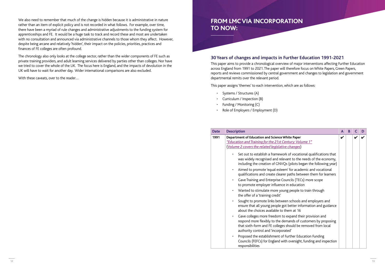### **30 Years of changes and impacts in Further Education 1991-2021**

This paper aims to provide a chronological overview of major interventions affecting Further Education across England from 1991 to 2021. The paper will therefore focus on White Papers, Green Papers, reports and reviews commissioned by central government and changes to legislation and government departmental remits over the relevant period.

This paper assigns 'themes' to each intervention, which are as follows:

- Systems / Structures (A)
- Curriculum / Inspection (B)
- Funding / Monitoring (C)
- Role of Employers / Employment (D)

| <b>Date</b> | <b>Description</b>                                                                                                                                                                                                                 | A | B |   | D |
|-------------|------------------------------------------------------------------------------------------------------------------------------------------------------------------------------------------------------------------------------------|---|---|---|---|
| 1991        | Department of Education and Science White Paper<br>"Education and Training for the 21st Century: Volume 1"<br>(Volume 2 covers the related legislative changes)                                                                    | V |   | V |   |
|             | Set out to establish a framework of vocational qualifications that<br>was widely recognised and relevant to the needs of the economy,<br>including the creation of GNVQs (pilots began the following year)                         |   |   |   |   |
|             | Aimed to promote 'equal esteem' for academic and vocational<br>$\bullet$<br>qualifications and create clearer paths between them for learners                                                                                      |   |   |   |   |
|             | Gave Training and Enterprise Councils (TECs) more scope<br>$\bullet$<br>to promote employer influence in education                                                                                                                 |   |   |   |   |
|             | Wanted to stimulate more young people to train through<br>the offer of a 'training credit'                                                                                                                                         |   |   |   |   |
|             | Sought to promote links between schools and employers and<br>ensure that all young people got better information and guidance<br>about the choices available to them at 16                                                         |   |   |   |   |
|             | Gave colleges more freedom to expand their provision and<br>respond more flexibly to the demands of customers by proposing<br>that sixth-form and FE colleges should be removed from local<br>authority control and 'incorporated' |   |   |   |   |
|             | Proposed the establishment of Further Education Funding<br>Councils (FEFCs) for England with oversight, funding and inspection<br>responsibilities                                                                                 |   |   |   |   |

We also need to remember that much of the change is hidden because it is administrative in nature rather than an item of explicit policy and is not recorded in what follows. For example, over time, there have been a myriad of rule changes and administrative adjustments to the funding system for apprenticeships and FE. It would be a huge task to track and record these and most are undertaken with no consultation and announced via administrative channels to those whom they affect. However, despite being arcane and relatively 'hidden', their impact on the policies, priorities, practices and finances of FE colleges are often profound.

The chronology also only looks at the college sector, rather than the wider components of FE such as private training providers, and adult learning services delivered by parties other than colleges. Nor have we tried to cover the whole of the UK. The focus here is England, and the impacts of devolution in the UK will have to wait for another day. Wider international comparisons are also excluded.

With these caveats, over to the reader…

### **FROM LMCVIA INCORPORATION TO NOW:**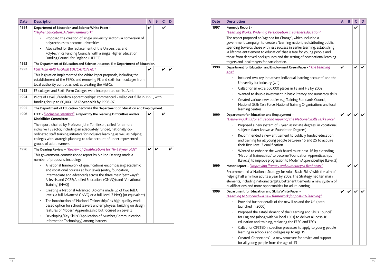| <b>Date</b> | <b>Description</b>                                                                                                                                                                                                                                                                                                                                                            | A                  | B | C | D |
|-------------|-------------------------------------------------------------------------------------------------------------------------------------------------------------------------------------------------------------------------------------------------------------------------------------------------------------------------------------------------------------------------------|--------------------|---|---|---|
| 1997        | Kennedy Report -<br>"Learning Works: Widening Participation in Further Education"                                                                                                                                                                                                                                                                                             |                    |   | V |   |
|             | The report proposed an 'Agenda for Change', which included a<br>government campaign to create a 'learning nation', redistributing public<br>spending towards those with less success in earlier learning, establishing<br>'a lifetime entitlement to education' that is free for young people and<br>those from deprived backgrounds and the setting of new national learning |                    |   |   |   |
|             | targets and local targets for participation.                                                                                                                                                                                                                                                                                                                                  |                    |   |   |   |
| 1998        | Department for Education and Employment Green Paper - "The Learning<br>Age"                                                                                                                                                                                                                                                                                                   | V                  |   |   |   |
|             | Included two key initiatives: 'individual learning accounts' and the<br>University for Industry (Ufl)                                                                                                                                                                                                                                                                         |                    |   |   |   |
|             | Called for an extra 500,000 places in FE and HE by 2002<br>$\bullet$                                                                                                                                                                                                                                                                                                          |                    |   |   |   |
|             | Wanted to double investment in basic literacy and numeracy skills<br>$\bullet$<br>Created various new bodies e.g. Training Standards Council,<br>$\bullet$<br>National Skills Task Force, National Training Organisations and local<br>learning centres                                                                                                                       |                    |   |   |   |
| 1999        | Department for Education and Employment -<br>"Delivering skills for all: second report of the National Skills Task Force"                                                                                                                                                                                                                                                     | $\boldsymbol{\nu}$ |   |   |   |
|             | Proposed a new system of 2 year 'associate degrees' in vocational<br>$\bullet$<br>subjects (later known as Foundation Degrees)                                                                                                                                                                                                                                                |                    |   |   |   |
|             | Recommended a new entitlement to publicly funded education<br>$\bullet$<br>and training for all young people between 16 and 25 to acquire<br>their first Level 3 qualification                                                                                                                                                                                                |                    |   |   |   |
|             | Wanted to enhance the work based route post-16 by extending<br>$\bullet$<br>'National Traineeships' to become 'Foundation Apprenticeships'<br>(Level 2) to improve progression to Modern Apprenticeships (Level 3)                                                                                                                                                            |                    |   |   |   |
| 1999        | Moser Report - "Improving literacy and numeracy: a fresh start"                                                                                                                                                                                                                                                                                                               |                    |   |   |   |
|             | Recommended a 'National Strategy for Adult Basic Skills' with the aim of<br>helping half a million adults a year by 2002. The Strategy had ten main<br>elements, including national targets, better entitlements, a new system of<br>qualifications and more opportunities for adult learning.                                                                                |                    |   |   |   |
| 1999        | Department for Education and Skills White Paper -                                                                                                                                                                                                                                                                                                                             | V                  |   |   |   |
|             | "Learning to Succeed - a new framework for post-16 learning"                                                                                                                                                                                                                                                                                                                  |                    |   |   |   |
|             | Provided further details of the new ILAs and the UfI (both<br>launched in 2000)                                                                                                                                                                                                                                                                                               |                    |   |   |   |
|             | Proposed the establishment of the 'Learning and Skills Council'<br>for England (along with 50 local LSCs) to deliver all post-16<br>education and training, replacing the FEFC and TECs                                                                                                                                                                                       |                    |   |   |   |
|             | Called for OFSTED inspection processes to apply to young people<br>$\bullet$<br>learning in schools and colleges up to age 19                                                                                                                                                                                                                                                 |                    |   |   |   |
|             | Created 'Connexions' - a new structure for advice and support<br>for all young people from the age of 13                                                                                                                                                                                                                                                                      |                    |   |   |   |

| <b>Date</b> | <b>Description</b>                                                                                                                                                                                                                                                                                                               | A            | $\mathbf B$                | C | D |
|-------------|----------------------------------------------------------------------------------------------------------------------------------------------------------------------------------------------------------------------------------------------------------------------------------------------------------------------------------|--------------|----------------------------|---|---|
| 1991        | Department of Education and Science White Paper -<br>"Higher Education: A New Framework"                                                                                                                                                                                                                                         | V            |                            | V |   |
|             | Proposed the creation of single university sector via conversion of<br>polytechnics to become universities                                                                                                                                                                                                                       |              |                            |   |   |
|             | Also called for the replacement of the Universities and<br>Polytechnics Funding Councils with a single Higher Education<br>Funding Council for England (HEFCE)                                                                                                                                                                   |              |                            |   |   |
| 1992        | The Department of Education and Science becomes the Department of Education.                                                                                                                                                                                                                                                     |              |                            |   |   |
| 1992        | <b>FURTHER AND HIGHER EDUCATION ACT</b>                                                                                                                                                                                                                                                                                          | V            |                            |   |   |
|             | This legislation implemented the White Paper proposals, including the<br>establishment of the FEFCs and removing FE and sixth form colleges from<br>local authority control as well as creating the HEFCs.                                                                                                                       |              |                            |   |   |
| 1993        | FE colleges and Sixth Form Colleges were incorporated on 1st April.                                                                                                                                                                                                                                                              |              |                            |   |   |
| 1994        | Pilots of Level 3 'Modern Apprenticeships' commenced - rolled out fully in 1995, with<br>funding for up to 60,000 16/17-year-olds by 1996-97.                                                                                                                                                                                    |              |                            |   |   |
| 1995        | The Department of Education becomes the Department of Education and Employment.                                                                                                                                                                                                                                                  |              |                            |   |   |
| 1996        | FEFC - "Inclusive Learning": a report by the Learning Difficulties and/or<br><b>Disabilities Committee</b>                                                                                                                                                                                                                       | V            |                            |   |   |
|             | The report, chaired by Professor John Tomlinson, called for a more<br>inclusive FE sector, including an adequately funded, nationally co-<br>ordinated staff training initiative for inclusive learning as well as helping<br>colleges with strategic planning to take account of under-represented<br>groups of adult learners. |              |                            |   |   |
| 1996        | The Dearing Review - "Review of Qualifications for 16-19 year olds"                                                                                                                                                                                                                                                              | $\checkmark$ | $\boldsymbol{\mathcal{U}}$ |   | V |
|             | This government-commissioned report by Sir Ron Dearing made a<br>number of proposals, including:                                                                                                                                                                                                                                 |              |                            |   |   |
|             | A national framework of qualifications encompassing academic<br>and vocational courses at four levels (entry, foundation,<br>intermediate and advanced) across the three main 'pathways':<br>A-levels and GCSE; Applied Education' (GNVQ); and 'Vocational<br>Training' (NVQ)                                                    |              |                            |   |   |
|             | Creating a National Advanced Diploma made up of two full A<br>$\bullet$<br>levels, a full Advanced GNVQ or a full Level 3 NVQ (or equivalent)                                                                                                                                                                                    |              |                            |   |   |
|             | The introduction of 'National Traineeships' as high-quality work-<br>$\bullet$<br>based option for school leavers and employees, building on design<br>features of Modern Apprenticeship but focused on Level 2                                                                                                                  |              |                            |   |   |
|             | Developing 'Key Skills' (Application of Number, Communication,<br>$\bullet$<br>Information Technology) among learners                                                                                                                                                                                                            |              |                            |   |   |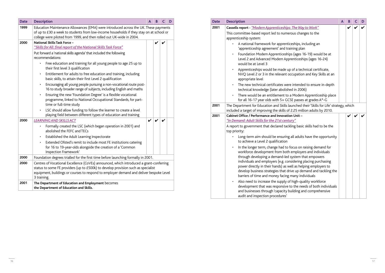| <b>Date</b> | <b>Description</b>                                                                                                                                                                                                                                          | A | B |  | D |
|-------------|-------------------------------------------------------------------------------------------------------------------------------------------------------------------------------------------------------------------------------------------------------------|---|---|--|---|
| 2001        | Cassells report - "Modern Apprenticeships: The Way to Work"                                                                                                                                                                                                 |   |   |  |   |
|             | This committee-based report led to numerous changes to the<br>apprenticeship system:                                                                                                                                                                        |   |   |  |   |
|             | A national framework for apprenticeships, including an<br>'apprenticeship agreement' and training plan                                                                                                                                                      |   |   |  |   |
|             | Foundation Modern Apprenticeships (ages 16-19) would be at<br>٠<br>Level 2 and Advanced Modern Apprenticeships (ages 16-24)<br>would be at Level 3                                                                                                          |   |   |  |   |
|             | Apprenticeships would be made up of a technical certificate,<br>NVQ Level 2 or 3 in the relevant occupation and Key Skills at an<br>appropriate level                                                                                                       |   |   |  |   |
|             | The new technical certificates were intended to ensure in-depth<br>technical knowledge (later abolished in 2006)                                                                                                                                            |   |   |  |   |
|             | There would be an entitlement to a Modern Apprenticeship place<br>$\bullet$<br>for all 16-17 year olds with 5+ GCSE passes at grades A*-G                                                                                                                   |   |   |  |   |
| 2001        | The Department for Education and Skills launched their 'Skills for Life' strategy, which<br>included a target of improving the skills of 2.25 million adults by 2010.                                                                                       |   |   |  |   |
| 2001        | Cabinet Office / Performance and Innovation Unit -                                                                                                                                                                                                          |   |   |  |   |
|             | "In Demand: Adult Skills for the 21st century"<br>A report to government that declared tackling basic skills had to be the<br>top priority:                                                                                                                 |   |   |  |   |
|             | Long-term aim should be ensuring all adults have the opportunity<br>to achieve a Level 2 qualification                                                                                                                                                      |   |   |  |   |
|             | In the longer term, change had to focus on raising demand for<br>٠<br>workforce development from both employers and individuals<br>through developing a demand-led system that empowers                                                                     |   |   |  |   |
|             | individuals and employers (e.g. considering placing purchasing<br>power directly in their hands) as well as helping employers to<br>develop business strategies that drive up demand and tackling the<br>barriers of time and money facing many individuals |   |   |  |   |
|             | Also need to increase the supply of high-quality workforce<br>٠<br>development that was responsive to the needs of both individuals<br>and businesses through 'capacity building and comprehensive<br>audit and inspection procedures'                      |   |   |  |   |

| <b>Date</b>  | <b>Description</b>                                                                                                                                                                                                                                                                                                                                                                                                                                                                                                                                                                                                                                                                                                                                                                                                                                                                                               | A | В |  | D |
|--------------|------------------------------------------------------------------------------------------------------------------------------------------------------------------------------------------------------------------------------------------------------------------------------------------------------------------------------------------------------------------------------------------------------------------------------------------------------------------------------------------------------------------------------------------------------------------------------------------------------------------------------------------------------------------------------------------------------------------------------------------------------------------------------------------------------------------------------------------------------------------------------------------------------------------|---|---|--|---|
| 1999         | Education Maintenance Allowances (EMA) were introduced across the UK. These payments<br>of up to £30 a week to students from low-income households if they stay on at school or<br>college were piloted from 1999, and then rolled out UK-wide in 2004.                                                                                                                                                                                                                                                                                                                                                                                                                                                                                                                                                                                                                                                          |   |   |  |   |
| 2000         | National Skills Task Force -<br>"Skills for All: final report of the National Skills Task Force"<br>Put forward a 'national skills agenda' that included the following<br>recommendations:<br>Free education and training for all young people to age 25 up to<br>their first level 3 qualification<br>Entitlement for adults to free education and training, including<br>$\bullet$<br>basic skills, to attain their first Level 2 qualification<br>Encouraging all young people pursuing a non-vocational route post-<br>$\bullet$<br>16 to study broader range of subjects, including English and maths<br>Ensuring the new 'Foundation Degree' is a flexible vocational<br>programme, linked to National Occupational Standards, for part-<br>time or full-time study<br>LSC should allow funding to follow the learner to create a level<br>playing field between different types of education and training |   |   |  |   |
| 2000<br>2000 | <b>LEARNING AND SKILLS ACT</b><br>Formally created the LSC (which began operation in 2001) and<br>abolished the FEFC and TECs<br>Established the Adult Learning Inspectorate<br>٠<br>Extended Ofsted's remit to include most FE institutions catering<br>for 16 to 19-year-olds alongside the creation of a 'Common<br>Inspection Framework'<br>Foundation degrees trialled for the first time before launching formally in 2001.                                                                                                                                                                                                                                                                                                                                                                                                                                                                                | V |   |  |   |
| 2000         | Centres of Vocational Excellence (CoVEs) announced, which introduced a grant-conferring<br>status to some FE providers (up to £500k) to develop provision such as specialist<br>equipment, buildings or courses to respond to employer demand and deliver bespoke Level<br>3 training.                                                                                                                                                                                                                                                                                                                                                                                                                                                                                                                                                                                                                           |   |   |  |   |
| 2001         | The Department of Education and Employment becomes<br>the Department of Education and Skills.                                                                                                                                                                                                                                                                                                                                                                                                                                                                                                                                                                                                                                                                                                                                                                                                                    |   |   |  |   |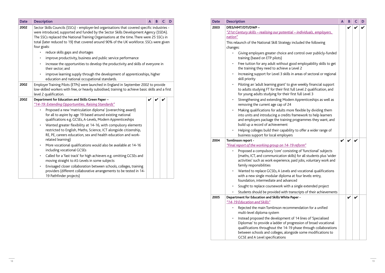| <b>Date</b> | <b>Description</b>                                                                                                                                                                                                                                                                                                   | A | B | C | D |
|-------------|----------------------------------------------------------------------------------------------------------------------------------------------------------------------------------------------------------------------------------------------------------------------------------------------------------------------|---|---|---|---|
| 2003        | DfES/HMT/DTI/DWP-                                                                                                                                                                                                                                                                                                    |   | V |   |   |
|             | "21st Century skills - realising our potential - individuals, employers,                                                                                                                                                                                                                                             |   |   |   |   |
|             | nation"                                                                                                                                                                                                                                                                                                              |   |   |   |   |
|             | This relaunch of the National Skill Strategy included the following                                                                                                                                                                                                                                                  |   |   |   |   |
|             | changes:                                                                                                                                                                                                                                                                                                             |   |   |   |   |
|             | Giving employers greater choice and control over publicly-funded<br>training (based on ETP pilots)                                                                                                                                                                                                                   |   |   |   |   |
|             | Free tuition for any adult without good employability skills to get<br>the training they need to achieve a Level 2                                                                                                                                                                                                   |   |   |   |   |
|             | Increasing support for Level 3 skills in areas of sectoral or regional<br>$\bullet$<br>skill priority                                                                                                                                                                                                                |   |   |   |   |
|             | Piloting an 'adult learning grant' to give weekly financial support<br>to adults studying FT for their first full Level 2 qualification, and<br>for young adults studying for their first full Level 3                                                                                                               |   |   |   |   |
|             | Strengthening and extending Modern Apprenticeships as well as<br>$\bullet$<br>removing the current age cap of 24                                                                                                                                                                                                     |   |   |   |   |
|             | Making qualifications for adults more flexible by dividing them<br>$\bullet$<br>into units and introducing a credits framework to help learners<br>and employers package the training programmes they want, and<br>build up a record of achievement                                                                  |   |   |   |   |
|             | Helping colleges build their capability to offer a wider range of<br>$\bullet$<br>business support for local employers                                                                                                                                                                                               |   |   |   |   |
| 2004        | Tomlinson report -                                                                                                                                                                                                                                                                                                   | V | V |   |   |
|             | "Final report of the working group on 14-19 reform"                                                                                                                                                                                                                                                                  |   |   |   |   |
|             | Proposed a compulsory 'core' consisting of 'functional' subjects<br>(maths, ICT, and communication skills) for all students plus 'wider<br>activities' such as work experience, paid jobs, voluntary work and<br>family responsibilities                                                                             |   |   |   |   |
|             | Wanted to replace GCSEs, A Levels and vocational qualifications<br>with a new single modular diploma at four levels: entry,<br>foundation, intermediate and advanced                                                                                                                                                 |   |   |   |   |
|             | Sought to replace coursework with a single extended project                                                                                                                                                                                                                                                          |   |   |   |   |
|             | Students should be provided with transcripts of their achievements                                                                                                                                                                                                                                                   |   |   |   |   |
| 2005        | Department for Education and Skills White Paper -<br>"14-19 Education and Skills"                                                                                                                                                                                                                                    |   | V |   |   |
|             | Rejected the main Tomlinson recommendation for a unified<br>multi-level diploma system                                                                                                                                                                                                                               |   |   |   |   |
|             | Instead proposed the development of 14 lines of 'Specialised<br>٠<br>Diplomas' to provide a ladder of progression of broad vocational<br>qualifications throughout the 14-19 phase through collaborations<br>between schools and colleges, alongside some modifications to<br><b>GCSE and A Level specifications</b> |   |   |   |   |

|                                                                                                                               | $\overline{\mathsf{A}}$ | B | C | D |
|-------------------------------------------------------------------------------------------------------------------------------|-------------------------|---|---|---|
| <u>al – individuals, employers, </u>                                                                                          |                         |   |   |   |
| included the following                                                                                                        |                         |   |   |   |
| d control over publicly-funded                                                                                                |                         |   |   |   |
| ood employability skills to get<br>Level 2                                                                                    |                         |   |   |   |
| in areas of sectoral or regional                                                                                              |                         |   |   |   |
| give weekly financial support<br>full Level 2 qualification, and<br>first full Level 3                                        |                         |   |   |   |
| rn Apprenticeships as well as                                                                                                 |                         |   |   |   |
| re flexible by dividing them<br>framework to help learners<br>gprogrammes they want, and                                      |                         |   |   |   |
| ity to offer a wider range of<br>٦S                                                                                           |                         |   |   |   |
|                                                                                                                               |                         |   |   |   |
| <u> 19 reform"</u><br>sting of 'functional' subjects<br>ills) for all students plus 'wider<br>paid jobs, voluntary work and   |                         |   |   |   |
| and vocational qualifications<br>at four levels: entry,<br>าced                                                               |                         |   |   |   |
| a single extended project                                                                                                     |                         |   |   |   |
| anscripts of their achievements                                                                                               |                         |   |   |   |
| Paper -                                                                                                                       |                         |   |   |   |
| nmendation for a unified                                                                                                      |                         |   |   |   |
| of 14 lines of 'Specialised<br>ogression of broad vocational<br>9 phase through collaborations<br>gside some modifications to |                         |   |   |   |

| <b>Date</b> | <b>Description</b>                                                                                                                                                                                                                                                                                                                                                                            | A | B | C | D |
|-------------|-----------------------------------------------------------------------------------------------------------------------------------------------------------------------------------------------------------------------------------------------------------------------------------------------------------------------------------------------------------------------------------------------|---|---|---|---|
| 2002        | Sector Skills Councils (SSCs) - employer-led organisations that covered specific industries -<br>were introduced, supported and funded by the Sector Skills Development Agency (SSDA).<br>The SSCs replaced the National Training Organisations at the time. There were 25 SSCs in<br>total (later reduced to 19) that covered around 90% of the UK workforce. SSCs were given<br>four goals: |   |   |   |   |
|             | reduce skills gaps and shortages                                                                                                                                                                                                                                                                                                                                                              |   |   |   |   |
|             | improve productivity, business and public service performance                                                                                                                                                                                                                                                                                                                                 |   |   |   |   |
|             | increase the opportunities to develop the productivity and skills of everyone in<br>their sector; and                                                                                                                                                                                                                                                                                         |   |   |   |   |
|             | improve learning supply through the development of apprenticeships, higher<br>education and national occupational standards.                                                                                                                                                                                                                                                                  |   |   |   |   |
| 2002        | Employer Training Pilots (ETPs) were launched in England in September 2002 to provide<br>low-skilled workers with free, or heavily subsidised, training to achieve basic skills and a first<br>level 2 qualification.                                                                                                                                                                         |   |   |   |   |
| 2002        | Department for Education and Skills Green Paper -                                                                                                                                                                                                                                                                                                                                             |   |   |   |   |
|             | "14-19: Extending Opportunities, Raising Standards"                                                                                                                                                                                                                                                                                                                                           |   |   |   |   |
|             | Proposed a new 'matriculation diploma' (overarching award)<br>for all to aspire by age 19 based around existing national<br>qualifications e.g. GCSEs, A-Levels, Modern Apprenticeships                                                                                                                                                                                                       |   |   |   |   |
|             | Wanted greater flexibility at 14-16, with compulsory elements<br>٠<br>restricted to English, Maths, Science, ICT alongside citizenship,<br>RE, PE, careers education, sex and health education and work-<br>related learning)                                                                                                                                                                 |   |   |   |   |
|             | More vocational qualifications would also be available at 14-16<br>$\bullet$<br>including vocational GCSEs                                                                                                                                                                                                                                                                                    |   |   |   |   |
|             | Called for a 'fast track' for high achievers e.g. omitting GCSEs and<br>$\bullet$<br>moving straight to AS-Levels in some subjects                                                                                                                                                                                                                                                            |   |   |   |   |
|             | Envisaged closer collaboration between schools, colleges, training<br>٠<br>providers (different collaborative arrangements to be tested in 14-<br>19 Pathfinder projects)                                                                                                                                                                                                                     |   |   |   |   |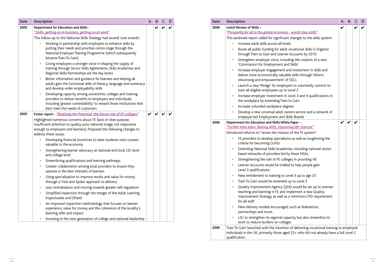| Leitch Review of Skills -<br>"Prosperity for all in the global economy - world class skills"<br>This landmark report called for significant changes to the skills system:<br>Increase adult skills across all levels<br>Route all public funding for adult vocational skills in England<br>through Train to Gain and Learner Accounts by 2010<br>Strengthen employer voice, including the creation of a new<br>'Commission for Employment and Skills'<br>Increase employer engagement and investment in skills and<br>deliver more economically valuable skills through 'reform,<br>relicensing and empowerment' of SSCs<br>Launch a new 'Pledge' for employers to voluntarily commit to<br>$\bullet$<br>train all eligible employees up to Level 2<br>Increase employer investment in Level 3 and 4 qualifications in<br>the workplace by extending Train to Gain<br>Increase cofunded workplace degrees<br>Develop a new universal adult careers service and a network of<br>$\bullet$<br>employer-led Employment and Skills Boards<br>Department for Education and Skills White Paper - | V                                                                                                                     |                                                                                                                                                                                     |
|--------------------------------------------------------------------------------------------------------------------------------------------------------------------------------------------------------------------------------------------------------------------------------------------------------------------------------------------------------------------------------------------------------------------------------------------------------------------------------------------------------------------------------------------------------------------------------------------------------------------------------------------------------------------------------------------------------------------------------------------------------------------------------------------------------------------------------------------------------------------------------------------------------------------------------------------------------------------------------------------------------------------------------------------------------------------------------------------|-----------------------------------------------------------------------------------------------------------------------|-------------------------------------------------------------------------------------------------------------------------------------------------------------------------------------|
|                                                                                                                                                                                                                                                                                                                                                                                                                                                                                                                                                                                                                                                                                                                                                                                                                                                                                                                                                                                                                                                                                            |                                                                                                                       |                                                                                                                                                                                     |
|                                                                                                                                                                                                                                                                                                                                                                                                                                                                                                                                                                                                                                                                                                                                                                                                                                                                                                                                                                                                                                                                                            |                                                                                                                       |                                                                                                                                                                                     |
|                                                                                                                                                                                                                                                                                                                                                                                                                                                                                                                                                                                                                                                                                                                                                                                                                                                                                                                                                                                                                                                                                            |                                                                                                                       |                                                                                                                                                                                     |
|                                                                                                                                                                                                                                                                                                                                                                                                                                                                                                                                                                                                                                                                                                                                                                                                                                                                                                                                                                                                                                                                                            |                                                                                                                       |                                                                                                                                                                                     |
|                                                                                                                                                                                                                                                                                                                                                                                                                                                                                                                                                                                                                                                                                                                                                                                                                                                                                                                                                                                                                                                                                            |                                                                                                                       |                                                                                                                                                                                     |
|                                                                                                                                                                                                                                                                                                                                                                                                                                                                                                                                                                                                                                                                                                                                                                                                                                                                                                                                                                                                                                                                                            |                                                                                                                       |                                                                                                                                                                                     |
|                                                                                                                                                                                                                                                                                                                                                                                                                                                                                                                                                                                                                                                                                                                                                                                                                                                                                                                                                                                                                                                                                            |                                                                                                                       |                                                                                                                                                                                     |
|                                                                                                                                                                                                                                                                                                                                                                                                                                                                                                                                                                                                                                                                                                                                                                                                                                                                                                                                                                                                                                                                                            |                                                                                                                       |                                                                                                                                                                                     |
|                                                                                                                                                                                                                                                                                                                                                                                                                                                                                                                                                                                                                                                                                                                                                                                                                                                                                                                                                                                                                                                                                            |                                                                                                                       |                                                                                                                                                                                     |
|                                                                                                                                                                                                                                                                                                                                                                                                                                                                                                                                                                                                                                                                                                                                                                                                                                                                                                                                                                                                                                                                                            |                                                                                                                       |                                                                                                                                                                                     |
|                                                                                                                                                                                                                                                                                                                                                                                                                                                                                                                                                                                                                                                                                                                                                                                                                                                                                                                                                                                                                                                                                            |                                                                                                                       |                                                                                                                                                                                     |
|                                                                                                                                                                                                                                                                                                                                                                                                                                                                                                                                                                                                                                                                                                                                                                                                                                                                                                                                                                                                                                                                                            | V                                                                                                                     |                                                                                                                                                                                     |
| "Further education: Raising skills, improving life chances"                                                                                                                                                                                                                                                                                                                                                                                                                                                                                                                                                                                                                                                                                                                                                                                                                                                                                                                                                                                                                                |                                                                                                                       |                                                                                                                                                                                     |
| Introduced reforms to "renew the mission of the FE system":                                                                                                                                                                                                                                                                                                                                                                                                                                                                                                                                                                                                                                                                                                                                                                                                                                                                                                                                                                                                                                |                                                                                                                       |                                                                                                                                                                                     |
| FE providers to develop specialisms as well as toughening the<br>$\bullet$<br>criteria for becoming CoVEs                                                                                                                                                                                                                                                                                                                                                                                                                                                                                                                                                                                                                                                                                                                                                                                                                                                                                                                                                                                  |                                                                                                                       |                                                                                                                                                                                     |
| Extending National Skills Academies, including national sector-<br>$\bullet$<br>based networks of providers led by these NSAs                                                                                                                                                                                                                                                                                                                                                                                                                                                                                                                                                                                                                                                                                                                                                                                                                                                                                                                                                              |                                                                                                                       |                                                                                                                                                                                     |
| Strengthening the role of FE colleges in providing HE                                                                                                                                                                                                                                                                                                                                                                                                                                                                                                                                                                                                                                                                                                                                                                                                                                                                                                                                                                                                                                      |                                                                                                                       |                                                                                                                                                                                     |
| Learner Accounts would be trialled to help people gain<br>Level 3 qualifications                                                                                                                                                                                                                                                                                                                                                                                                                                                                                                                                                                                                                                                                                                                                                                                                                                                                                                                                                                                                           |                                                                                                                       |                                                                                                                                                                                     |
| $\bullet$                                                                                                                                                                                                                                                                                                                                                                                                                                                                                                                                                                                                                                                                                                                                                                                                                                                                                                                                                                                                                                                                                  |                                                                                                                       |                                                                                                                                                                                     |
|                                                                                                                                                                                                                                                                                                                                                                                                                                                                                                                                                                                                                                                                                                                                                                                                                                                                                                                                                                                                                                                                                            |                                                                                                                       |                                                                                                                                                                                     |
| Quality Improvement Agency (QIA) would be set up to oversee<br>$\bullet$<br>teaching and learning in FE and implement a new Quality<br>Improvement Strategy as well as a minimum CPD requirement<br>for all staff                                                                                                                                                                                                                                                                                                                                                                                                                                                                                                                                                                                                                                                                                                                                                                                                                                                                          |                                                                                                                       |                                                                                                                                                                                     |
| New delivery models encouraged, such as federations,<br>$\bullet$<br>partnerships and trusts                                                                                                                                                                                                                                                                                                                                                                                                                                                                                                                                                                                                                                                                                                                                                                                                                                                                                                                                                                                               |                                                                                                                       |                                                                                                                                                                                     |
| LSC to strengthen its regional capacity but also streamline its<br>work to reduce burdens on colleges                                                                                                                                                                                                                                                                                                                                                                                                                                                                                                                                                                                                                                                                                                                                                                                                                                                                                                                                                                                      |                                                                                                                       |                                                                                                                                                                                     |
|                                                                                                                                                                                                                                                                                                                                                                                                                                                                                                                                                                                                                                                                                                                                                                                                                                                                                                                                                                                                                                                                                            | New entitlement to training to Level 3 up to age 25<br>Train To Gain would be extended up to Level 3<br>qualification | Train To Gain' launched with the intention of delivering vocational training to employed<br>individuals in the UK, primarily those aged 25+ who did not already have a full Level 2 |

| <b>Date</b> | <b>Description</b>                                                                                                                                                                                                                                    | A | B | C                  | D |
|-------------|-------------------------------------------------------------------------------------------------------------------------------------------------------------------------------------------------------------------------------------------------------|---|---|--------------------|---|
| 2005        | Department for Education and Skills -<br>"Skills: getting on in business, getting on at work"                                                                                                                                                         |   | V |                    |   |
|             | This follow-up to the National Skills Strategy had several 'core strands':                                                                                                                                                                            |   |   |                    |   |
|             | Working in partnership with employers to enhance skills by<br>$\bullet$<br>putting their needs and priorities centre stage through the<br>National Employer Training Programme (which subsequently<br>became Train To Gain)                           |   |   |                    |   |
|             | Giving employers a stronger voice in shaping the supply of<br>$\bullet$<br>training through Sector Skills Agreements, Skills Academies and<br>Regional Skills Partnerships are the key levers                                                         |   |   |                    |   |
|             | Better information and guidance for learners and helping all<br>$\bullet$<br>adults gain the functional skills of literacy, language and numeracy<br>and develop wider employability skills                                                           |   |   |                    |   |
|             | Developing capacity among universities, colleges and training<br>$\bullet$<br>providers to deliver benefits to employers and individuals,<br>including 'greater contestability' to reward those institutions that<br>best meet the needs of customers |   |   |                    |   |
| 2005        | Foster report - "Realising the Potential: the future role of FE colleges"                                                                                                                                                                             |   | V | $\boldsymbol{\nu}$ |   |
|             | Highlighted numerous concerns about FE (lack of clear purpose,<br>insufficient attention to quality, poor national image, not responsive<br>enough to employers and learners). Proposed the following changes to<br>address these issues:             |   |   |                    |   |
|             | Developing financial incentives to steer students onto courses<br>$\bullet$<br>valuable to the economy                                                                                                                                                |   |   |                    |   |
|             | Strengthening learner advocacy at national and local LSC level<br>٠<br>and college level                                                                                                                                                              |   |   |                    |   |
|             | Streamlining qualifications and learning pathways<br>$\bullet$                                                                                                                                                                                        |   |   |                    |   |
|             | Greater collaboration among local providers to ensure they<br>operate in the best interests of learners                                                                                                                                               |   |   |                    |   |
|             | Using specialisation to improve results and value for money<br>$\bullet$<br>through a 'Hub and Spoke' approach to delivery                                                                                                                            |   |   |                    |   |
|             | Less centralisation and moving towards greater self-regulation<br>$\bullet$                                                                                                                                                                           |   |   |                    |   |
|             | Simplified inspection through the merger of the Adult Learning<br>٠<br>Inspectorate and Ofsted                                                                                                                                                        |   |   |                    |   |
|             | An improved inspection methodology that focuses on learner<br>experience, value for money and the coherence of the locality's<br>learning offer and impact                                                                                            |   |   |                    |   |
|             |                                                                                                                                                                                                                                                       |   |   |                    |   |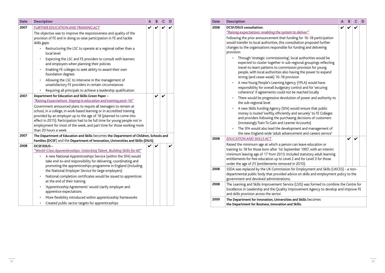| <b>Date</b> | <b>Description</b>                                                                                                                                                                                                                                                                                                                                     | A | B | D |
|-------------|--------------------------------------------------------------------------------------------------------------------------------------------------------------------------------------------------------------------------------------------------------------------------------------------------------------------------------------------------------|---|---|---|
| 2008        | <b>DCSF/DIUS</b> consultation:<br>"Raising expectations: enabling the system to deliver"                                                                                                                                                                                                                                                               |   |   |   |
|             | Following the prior announcement that funding for 16-18 participation<br>would transfer to local authorities, this consultation proposed further<br>changes to the organisations responsible for funding and delivering<br>provision:                                                                                                                  |   |   |   |
|             | Through 'strategic commissioning', local authorities would be<br>expected to cluster together in sub-regional groupings reflecting<br>travel-to-learn patterns to commission provision for young<br>people, with local authorities also having the power to expand<br>strong (and cease weak) 16-18 provision                                          |   |   |   |
|             | A new Young People's Learning Agency (YPLA) would have<br>$\bullet$<br>responsibility for overall budgetary control and for 'securing<br>coherence' if agreements could not be reached locally                                                                                                                                                         |   |   |   |
|             | There would be progressive devolution of power and authority to<br>$\bullet$<br>the sub-regional level                                                                                                                                                                                                                                                 |   |   |   |
|             | A new Skills Funding Agency (SFA) would ensure that public<br>money is routed 'swiftly, efficiently and securely' to FE Colleges<br>and providers following the purchasing decisions of customers<br>(increasingly Train To Gain and Learner Accounts)                                                                                                 |   |   |   |
|             | The SFA would also lead the development and management of<br>the new England-wide 'adult advancement and careers service'                                                                                                                                                                                                                              |   |   |   |
| 2008        | <b>EDUCATION AND SKILLS ACT</b>                                                                                                                                                                                                                                                                                                                        |   |   |   |
|             | Raised the minimum age at which a person can leave education or<br>training to 18 for those born after 1st September 1997, with an interim<br>minimum leaving age of 17 from 2013. Included statutory adult learning<br>entitlements for free education up to Level 2 and for Level 3 for those<br>under the age of 25 (entitlements removed in 2010). |   |   |   |
| 2008        | SSDA was replaced by the UK Commission for Employment and Skills (UKCES) - a non-<br>departmental public body that provided advice on skills and employment policy to the<br>government and devolved administrations.                                                                                                                                  |   |   |   |
| 2008        | The Learning and Skills Improvement Service (LSIS) was formed to combine the Centre for<br>Excellence in Leadership and the Quality Improvement Agency to develop and improve FE<br>and skills provision across the sector.                                                                                                                            |   |   |   |
| 2009        | The Department for Innovation, Universities and Skills becomes<br>the Department for Business, Innovation and Skills.                                                                                                                                                                                                                                  |   |   |   |

| <b>Date</b> | <b>Description</b>                                                                                                                                                                                                                                                                                                                                                                                                                                                                                                                                                                                                                                                                 | A | B | C | D |
|-------------|------------------------------------------------------------------------------------------------------------------------------------------------------------------------------------------------------------------------------------------------------------------------------------------------------------------------------------------------------------------------------------------------------------------------------------------------------------------------------------------------------------------------------------------------------------------------------------------------------------------------------------------------------------------------------------|---|---|---|---|
| 2007        | <b>FURTHER EDUCATION AND TRAINING ACT</b><br>The objective was to improve the responsiveness and quality of the<br>provision of FE and in doing so raise participation in FE and tackle<br>skills gaps:<br>Restructuring the LSC to operate at a regional rather than a<br>local level<br>Expecting the LSC and FE providers to consult with learners<br>and employers when planning their policies<br>Enabling FE colleges to seek ability to award their own                                                                                                                                                                                                                     | V |   |   |   |
|             | foundation degrees<br>Allowing the LSC to intervene in the management of<br>unsatisfactory FE providers in certain circumstances<br>Requiring all principals to achieve a leadership qualification                                                                                                                                                                                                                                                                                                                                                                                                                                                                                 |   |   |   |   |
| 2007        | Department for Education and Skills Green Paper -<br>"Raising Expectations: Staying in education and training post-16"<br>Government announced plans to require all teenagers to remain at<br>school, in a college, in work-based learning or in accredited training<br>provided by an employer up to the age of 18 (planned to come into<br>effect in 2015). Participation had to be full time for young people not in<br>employment for most of the week, and part time for those working more<br>than 20 hours a week.                                                                                                                                                          |   | V | V |   |
| 2007        | The Department of Education and Skills becomes the Department of Children, Schools and<br>Families (DCSF) and the Department of Innovation, Universities and Skills (DIUS).                                                                                                                                                                                                                                                                                                                                                                                                                                                                                                        |   |   |   |   |
| 2008        | <b>DCSF/DIUS-</b><br>"World-Class Apprenticeships: Unlocking Talent, Building Skills for All"<br>A new National Apprenticeships Service (within the SFA) would<br>take end-to-end responsibility for delivering, coordinating and<br>promoting the apprenticeships programme in England (including<br>the National Employer Service for large employers)<br>National completion certificates would be issued to apprentices<br>$\bullet$<br>at the end of their training<br>'Apprenticeship Agreements' would clarify employer and<br>apprentice expectations<br>More flexibility introduced within apprenticeship frameworks<br>Created public sector targets for apprenticeships | V | V |   | V |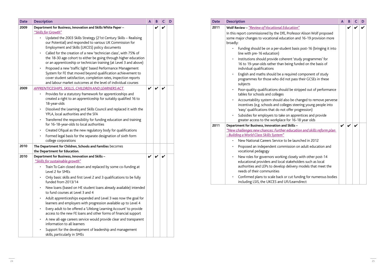| <b>Date</b> | <b>Description</b>                                                                                                                                                                                                                   | A | B | C | D |
|-------------|--------------------------------------------------------------------------------------------------------------------------------------------------------------------------------------------------------------------------------------|---|---|---|---|
| 2011        | Wolf Review - "Review of Vocational Education"                                                                                                                                                                                       |   |   |   |   |
|             | In this report commissioned by the DfE, Professor Alison Wolf proposed<br>some major changes to vocational education and 16-19 provision more<br>broadly:                                                                            |   |   |   |   |
|             | Funding should be on a per-student basis post-16 (bringing it into<br>$\bullet$<br>line with pre-16 education)                                                                                                                       |   |   |   |   |
|             | Institutions should provide coherent 'study programmes' for<br>$\bullet$<br>16 to 19-year-olds rather than being funded on the basis of<br>individual qualifications                                                                 |   |   |   |   |
|             | English and maths should be a required component of study<br>$\bullet$<br>programmes for those who did not pass their GCSEs in these<br>subjects                                                                                     |   |   |   |   |
|             | Poor-quality qualifications should be stripped out of performance<br>$\bullet$<br>tables for schools and colleges                                                                                                                    |   |   |   |   |
|             | Accountability system should also be changed to remove perverse<br>$\bullet$<br>incentives (e.g. schools and colleges steering young people into<br>'easy' qualifications that do not offer progression)                             |   |   |   |   |
|             | Subsidies for employers to take on apprentices and provide<br>$\bullet$<br>greater access to the workplace for 16-18 year olds                                                                                                       |   |   |   |   |
| 2011        | Department for Business, Innovation and Skills -<br>"New challenges new chances: Further education and skills reform plan<br>- Building a World Class Skills System"                                                                 | V |   |   |   |
|             | New National Careers Service to be launched in 2012                                                                                                                                                                                  |   |   |   |   |
|             | Proposed an independent commission on adult education and<br>$\bullet$<br>vocational pedagogy                                                                                                                                        |   |   |   |   |
|             | New roles for governors working closely with other post-14<br>$\bullet$<br>educational providers and local stakeholders such as local<br>authorities and LEPs to develop delivery models that meet the<br>needs of their communities |   |   |   |   |
|             | Confirmed plans to scale back or cut funding for numerous bodies<br>$\bullet$<br>including LSIS, the UKCES and Ufi/Learndirect                                                                                                       |   |   |   |   |

| <b>Date</b> | <b>Description</b>                                                                                                                     | A | B            | C | D |
|-------------|----------------------------------------------------------------------------------------------------------------------------------------|---|--------------|---|---|
| 2009        | Department for Business, Innovation and Skills White Paper -                                                                           |   | V            |   |   |
|             | "Skills for Growth"                                                                                                                    |   |              |   |   |
|             | Updated the 2003 Skills Strategy (21st Century Skills - Realising                                                                      |   |              |   |   |
|             | our Potential) and responded to various UK Commission for<br>Employment and Skills (UKCES) policy documents                            |   |              |   |   |
|             | Called for the creation of a new 'technician class', with 75% of                                                                       |   |              |   |   |
|             | the 18-30 age cohort to either be going through higher education<br>or an apprenticeship or technician training (at Level 3 and above) |   |              |   |   |
|             | Proposed a new 'traffic light' based Performance Management                                                                            |   |              |   |   |
|             | System for FE that moved beyond qualification achievement to                                                                           |   |              |   |   |
|             | cover student satisfaction, completion rates, inspection reports<br>and labour market outcomes at the level of individual courses      |   |              |   |   |
| 2009        | APPRENTICESHIPS, SKILLS, CHILDREN AND LEARNERS ACT                                                                                     |   |              |   |   |
|             | Provides for a statutory framework for apprenticeships and                                                                             |   |              |   |   |
|             | created a right to an apprenticeship for suitably qualified 16 to<br>18-year-olds                                                      |   |              |   |   |
|             | Dissolved the Learning and Skills Council and replaced it with the<br>YPLA, local authorities and the SFA                              |   |              |   |   |
|             | Transferred the responsibility for funding education and training<br>٠<br>for 16-18-year-olds to local authorities                     |   |              |   |   |
|             | Created Ofqual as the new regulatory body for qualifications                                                                           |   |              |   |   |
|             | Formed legal basis for the separate designation of sixth form<br>$\bullet$<br>college corporations                                     |   |              |   |   |
| 2010        | The Department for Children, Schools and Families becomes                                                                              |   |              |   |   |
|             | the Department for Education.                                                                                                          |   |              |   |   |
| 2010        | Department for Business, Innovation and Skills -                                                                                       |   | $\checkmark$ |   |   |
|             | "Skills for sustainable growth"                                                                                                        |   |              |   |   |
|             | Train To Gain closed down and replaced by some co-funding at<br>Level 2 for SMEs                                                       |   |              |   |   |
|             | Only basic skills and first Level 2 and 3 qualifications to be fully<br>funded from 2013/14                                            |   |              |   |   |
|             | New loans (based on HE student loans already available) intended<br>to fund courses at Level 3 and 4                                   |   |              |   |   |
|             | Adult apprenticeships expanded and Level 3 was now the goal for<br>learners and employers with progression available up to Level 4     |   |              |   |   |
|             | Every adult to be offered a 'Lifelong Learning Account' to provide<br>access to the new FE loans and other forms of financial support  |   |              |   |   |
|             | A new all-age careers service would provide clear and transparent<br>information to all learners                                       |   |              |   |   |
|             | Support for the development of leadership and management<br>skills, particularly in SMEs                                               |   |              |   |   |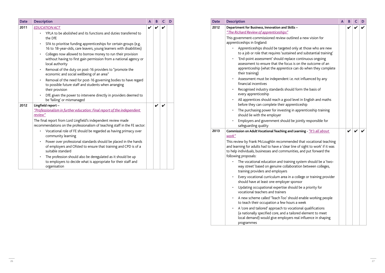| <b>Date</b> | <b>Description</b>                                                                                                                                                                                                                                    | A | B | C | D |
|-------------|-------------------------------------------------------------------------------------------------------------------------------------------------------------------------------------------------------------------------------------------------------|---|---|---|---|
| 2012        | Department for Business, Innovation and Skills -                                                                                                                                                                                                      |   |   |   |   |
|             | "The Richard Review of apprenticeships"                                                                                                                                                                                                               |   |   |   |   |
|             | This government-commissioned review outlined a new vision for<br>apprenticeships in England:                                                                                                                                                          |   |   |   |   |
|             | Apprenticeships should be targeted only at those who are new<br>to a job or role that requires 'sustained and substantial training'                                                                                                                   |   |   |   |   |
|             | 'End-point assessment' should replace continuous ongoing<br>٠<br>assessment to ensure that the focus is on the outcome of an<br>apprenticeship (what the apprentice can do when they complete<br>their training)                                      |   |   |   |   |
|             | Assessment must be independent i.e. not influenced by any<br>٠<br>financial incentives                                                                                                                                                                |   |   |   |   |
|             | Recognised industry standards should form the basis of<br>٠<br>every apprenticeship                                                                                                                                                                   |   |   |   |   |
|             | All apprentices should reach a good level in English and maths<br>before they can complete their apprenticeship                                                                                                                                       |   |   |   |   |
|             | The purchasing power for investing in apprenticeship training<br>$\bullet$<br>should lie with the employer                                                                                                                                            |   |   |   |   |
|             | Employers and government should be jointly responsible for<br>safeguarding quality                                                                                                                                                                    |   |   |   |   |
| 2013        | Commission on Adult Vocational Teaching and Learning - "It's all about<br>work"                                                                                                                                                                       |   | V |   |   |
|             | This review by Frank McLoughlin recommended that vocational teaching<br>and learning for adults had to have a 'clear line of sight to work' if it was<br>to help individuals, businesses and communities, and put forward the<br>following proposals: |   |   |   |   |
|             | The vocational education and training system should be a 'two-<br>way street' based on genuine collaboration between colleges,<br>training providers and employers                                                                                    |   |   |   |   |
|             | Every vocational curriculum area in a college or training provider<br>٠<br>should have at least one employer sponsor                                                                                                                                  |   |   |   |   |
|             | Updating occupational expertise should be a priority for<br>٠<br>vocational teachers and trainers                                                                                                                                                     |   |   |   |   |
|             | A new scheme called 'Teach Too' should enable working people<br>٠<br>to teach their occupation a few hours a week                                                                                                                                     |   |   |   |   |
|             | A 'core and tailored' approach to vocational qualifications<br>(a nationally specified core, and a tailored element to meet<br>local demand) would give employers real influence in shaping<br>programmes                                             |   |   |   |   |

|                                                                                                                                                  | A | B.                         | $\mathsf{C}$               | D |
|--------------------------------------------------------------------------------------------------------------------------------------------------|---|----------------------------|----------------------------|---|
| ills –                                                                                                                                           |   | $\boldsymbol{\mathcal{U}}$ | $\boldsymbol{\mathcal{U}}$ |   |
| tlined a new vision for                                                                                                                          |   |                            |                            |   |
| only at those who are new<br>ned and substantial training'<br>ace continuous ongoing<br>s is on the outcome of an<br>e can do when they complete |   |                            |                            |   |
| e. not influenced by any.                                                                                                                        |   |                            |                            |   |
| uld form the basis of                                                                                                                            |   |                            |                            |   |
| I level in English and maths<br>renticeship<br>in apprenticeship training                                                                        |   |                            |                            |   |
| be jointly responsible for                                                                                                                       |   |                            |                            |   |
| d Learning - <u>"/t's all about</u>                                                                                                              |   |                            |                            |   |
| nded that vocational teaching<br>line of sight to work' if it was<br>nities, and put forward the                                                 |   |                            |                            |   |
| ing system should be a 'two-<br>oration between colleges,                                                                                        |   |                            |                            |   |
| a college or training provider<br>sponsor<br>ould be a priority for                                                                              |   |                            |                            |   |
| ould enable working people<br>urs a week<br>cational qualifications<br>ailored element to meet<br>rs real influence in shaping                   |   |                            |                            |   |

| <b>Date</b> | <b>Description</b>                                                                                                                                      | A | B | C | D |
|-------------|---------------------------------------------------------------------------------------------------------------------------------------------------------|---|---|---|---|
| 2011        | <b>EDUCATION ACT</b>                                                                                                                                    | V | ✔ |   |   |
|             | YPLA to be abolished and its functions and duties transferred to<br>the DfE                                                                             |   |   |   |   |
|             | SFA to prioritise funding apprenticeships for certain groups (e.g.<br>16 to 18-year-olds, care leavers, young learners with disabilities)               |   |   |   |   |
|             | Colleges now allowed to borrow money to run their provision<br>without having to first gain permission from a national agency or<br>local authority     |   |   |   |   |
|             | Removal of the duty on post-16 providers to "promote the<br>economic and social wellbeing of an area"                                                   |   |   |   |   |
|             | Removal of the need for post-16 governing bodies to have regard<br>$\bullet$<br>to possible future staff and students when arranging<br>their provision |   |   |   |   |
|             | DfE given the power to intervene directly in providers deemed to<br>be 'failing' or mismanaged                                                          |   |   |   |   |
| 2012        | Lingfield report-                                                                                                                                       |   | V |   |   |
|             | "Professionalism in further education: Final report of the independent                                                                                  |   |   |   |   |
|             | review"                                                                                                                                                 |   |   |   |   |
|             | The final report from Lord Lingfield's independent review made<br>recommendations on the professionalism of teaching staff in the FE sector:            |   |   |   |   |
|             | Vocational role of FE should be regarded as having primacy over<br>community learning                                                                   |   |   |   |   |
|             | Power over professional standards should be placed in the hands<br>of employers and Ofsted to ensure that training and CPD is of a<br>suitable standard |   |   |   |   |
|             | The profession should also be deregulated as it should be up<br>to employers to decide what is appropriate for their staff and<br>organisation          |   |   |   |   |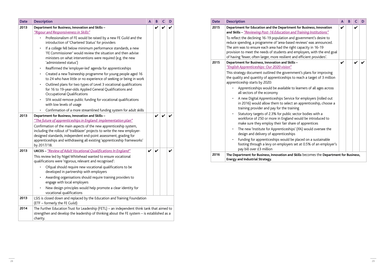| <b>Date</b> | <b>Description</b>                                                                                                                                                                                                                                                                                                                                                     | A | B | C | D |
|-------------|------------------------------------------------------------------------------------------------------------------------------------------------------------------------------------------------------------------------------------------------------------------------------------------------------------------------------------------------------------------------|---|---|---|---|
| 2015        | Department for Education and the Department for Business, Innovation<br>and Skills - "Reviewing Post-16 Education and Training Institutions"                                                                                                                                                                                                                           | V |   | V |   |
|             | To reflect the declining 16-19 population and government's desire to<br>reduce spending, a programme of 'area-based reviews' was announced.<br>The aim was to ensure each area had the right capacity in 16-19<br>provision to meet the needs of students and employers, with the end goal<br>of having 'fewer, often larger, more resilient and efficient providers'. |   |   |   |   |
| 2015        | Department for Business, Innovation and Skills -<br>"English Apprenticeships: Our 2020 vision"                                                                                                                                                                                                                                                                         | V |   |   |   |
|             | This strategy document outlined the government's plans for improving<br>the quality and quantity of apprenticeships to reach a target of 3 million<br>apprenticeship starts by 2020:                                                                                                                                                                                   |   |   |   |   |
|             | Apprenticeships would be available to learners of all ages across<br>all sectors of the economy                                                                                                                                                                                                                                                                        |   |   |   |   |
|             | A new Digital Apprenticeships Service for employers (rolled out<br>in 2016) would allow them to select an apprenticeship, choose a<br>training provider and pay for the training                                                                                                                                                                                       |   |   |   |   |
|             | Statutory targets of 2.3% for public sector bodies with a<br>workforce of 250 or more in England would be introduced to<br>make sure they employ their fair share of apprentices                                                                                                                                                                                       |   |   |   |   |
|             | The new 'Institute for Apprenticeships' (IfA) would oversee the<br>$\bullet$<br>design and delivery of apprenticeships                                                                                                                                                                                                                                                 |   |   |   |   |
|             | Funding for apprenticeships would be placed on a sustainable<br>footing through a levy on employers set at 0.5% of an employer's<br>pay bill over £3 million                                                                                                                                                                                                           |   |   |   |   |
| 2016        | The Department for Business, Innovation and Skills becomes the Department for Business,<br><b>Energy and Industrial Strategy.</b>                                                                                                                                                                                                                                      |   |   |   |   |

| <b>Date</b> | <b>Description</b>                                                                                                                                                                                                                                                                                               | A | B | C | D |
|-------------|------------------------------------------------------------------------------------------------------------------------------------------------------------------------------------------------------------------------------------------------------------------------------------------------------------------|---|---|---|---|
| 2013        | Department for Business, Innovation and Skills -<br>"Rigour and Responsiveness in Skills"                                                                                                                                                                                                                        |   | V |   |   |
|             | Professionalism of FE would be raised by a new FE Guild and the<br>introduction of 'Chartered Status' for providers                                                                                                                                                                                              |   |   |   |   |
|             | If a college fell below minimum performance standards, a new<br>$\bullet$<br>'FE Commissioner' would review the situation and then advise<br>ministers on what interventions were required (e.g. the new<br>'administered status')                                                                               |   |   |   |   |
|             | Reaffirmed the 'employer-led' agenda for apprenticeships<br>$\bullet$                                                                                                                                                                                                                                            |   |   |   |   |
|             | Created a new Traineeship programme for young people aged 16<br>$\bullet$<br>to 24 who have little or no experience of seeking or being in work                                                                                                                                                                  |   |   |   |   |
|             | Outlined plans for two types of Level 3 vocational qualifications<br>$\bullet$<br>for 16 to 19-year-olds: Applied General Qualifications and<br>Occupational Qualifications                                                                                                                                      |   |   |   |   |
|             | SFA would remove public funding for vocational qualifications<br>$\bullet$<br>with low levels of usage                                                                                                                                                                                                           |   |   |   |   |
|             | Confirmation of a more streamlined funding system for adult skills<br>$\bullet$                                                                                                                                                                                                                                  |   |   |   |   |
| 2013        | Department for Business, Innovation and Skills -<br>"The future of apprenticeships in England: implementation plan"                                                                                                                                                                                              |   | V | V |   |
|             | Confirmation of the main aspects of the new apprenticeship system,<br>including the rollout of 'trailblazer' projects to write the new employer-<br>designed standards, independent end-point assessment, grading for<br>apprenticeships and withdrawing all existing 'apprenticeship frameworks'<br>by 2017/18. |   |   |   |   |
| 2013        | <b>UKCES</b> - "Review of Adult Vocational Qualifications In England"                                                                                                                                                                                                                                            | V |   |   | V |
|             | This review led by Nigel Whitehead wanted to ensure vocational<br>qualifications were 'rigorous, relevant and recognised':                                                                                                                                                                                       |   |   |   |   |
|             | Ofqual should require new vocational qualifications to be<br>developed in partnership with employers                                                                                                                                                                                                             |   |   |   |   |
|             | Awarding organisations should require training providers to<br>$\bullet$<br>engage with local employers                                                                                                                                                                                                          |   |   |   |   |
|             | New design principles would help promote a clear identity for<br>$\bullet$<br>vocational qualifications                                                                                                                                                                                                          |   |   |   |   |
| 2013        | LSIS is closed down and replaced by the Education and Training Foundation<br>(ETF - formerly the FE Guild)                                                                                                                                                                                                       |   |   |   |   |
| 2014        | The Further Education Trust for Leadership (FETL) - an independent think tank that aimed to<br>strengthen and develop the leadership of thinking about the FE system - is established as a<br>charity.                                                                                                           |   |   |   |   |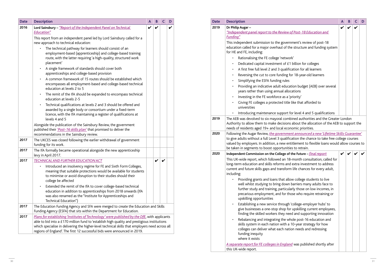| <b>Date</b> | <b>Description</b>                                                                                                                                                                                                                                                                                               | A | B | C | D |
|-------------|------------------------------------------------------------------------------------------------------------------------------------------------------------------------------------------------------------------------------------------------------------------------------------------------------------------|---|---|---|---|
| 2019        | Dr Philip Augar-<br>"Independent panel report to the Review of Post-18 Education and<br><b>Funding"</b>                                                                                                                                                                                                          |   |   | V |   |
|             | This independent submission to the government's review of post-18<br>education called for a major overhaul of the structure and funding system<br>for HE and FE, including:                                                                                                                                      |   |   |   |   |
|             | Rationalising the FE college 'network'<br>$\bullet$                                                                                                                                                                                                                                                              |   |   |   |   |
|             | Dedicated capital investment of £1 billion for colleges<br>٠                                                                                                                                                                                                                                                     |   |   |   |   |
|             | A first free full level 2 and 3 qualification for all learners<br>٠                                                                                                                                                                                                                                              |   |   |   |   |
|             | Reversing the cut to core funding for 18-year-old learners<br>$\bullet$                                                                                                                                                                                                                                          |   |   |   |   |
|             | Simplifying the ESFA funding rules<br>$\bullet$                                                                                                                                                                                                                                                                  |   |   |   |   |
|             | Providing an indicative adult education budget (AEB) over several<br>$\bullet$<br>years rather than using annual allocations                                                                                                                                                                                     |   |   |   |   |
|             | Investing in the FE workforce as a 'priority'                                                                                                                                                                                                                                                                    |   |   |   |   |
|             | Giving FE colleges a protected title like that afforded to<br>$\bullet$<br>universities                                                                                                                                                                                                                          |   |   |   |   |
|             | Introducing maintenance support for level 4 and 5 qualifications                                                                                                                                                                                                                                                 |   |   |   |   |
| 2020        | Authority to allow them to make decisions about the allocation of the AEB to support the<br>needs of residents aged 19+ and local economic priorities.<br>Following the Augar Review, the government announced a new 'Lifetime Skills Guarantee'                                                                 |   |   |   |   |
|             | to give adults without a full Level 3 qualification the chance to take free college courses<br>valued by employers. In addition, a new entitlement to flexible loans would allow courses to<br>be taken in segments to boost opportunities to retrain.                                                           |   |   |   |   |
| 2020        | Independent Commission on the College of the Future - final report                                                                                                                                                                                                                                               |   |   |   |   |
|             | This UK-wide report, which followed an 18-month consultation, called for<br>long-term education and skills reforms and extra investment to address<br>current and future skills gaps and transform life chances for every adult,<br>including:<br>Providing grants and loans that allow college students to live |   |   |   |   |
|             | well whilst studying to bring down barriers many adults face to<br>further study and training, particularly those on low incomes, in<br>precarious employment, and for those who require retraining or<br>upskilling opportunities                                                                               |   |   |   |   |
|             | Establishing a new service through 'college-employer hubs' to<br>٠<br>give businesses a one-stop shop for upskilling current employees,<br>finding the skilled workers they need and supporting innovation                                                                                                       |   |   |   |   |
|             | Rebalancing and integrating the whole post-16 education and<br>$\bullet$                                                                                                                                                                                                                                         |   |   |   |   |
| 2019        | skills system in each nation with a 10-year strategy for how<br>colleges can deliver what each nation needs and redressing<br>funding inequity<br>where it exists                                                                                                                                                |   |   |   |   |

| <b>Date</b> | <b>Description</b>                                                                                                                                                                                                                                                                                                                                                           | A | B | C | D |
|-------------|------------------------------------------------------------------------------------------------------------------------------------------------------------------------------------------------------------------------------------------------------------------------------------------------------------------------------------------------------------------------------|---|---|---|---|
| 2016        | Lord Sainsbury - "Report of the Independent Panel on Technical                                                                                                                                                                                                                                                                                                               | V |   |   | V |
|             | <b>Education"</b>                                                                                                                                                                                                                                                                                                                                                            |   |   |   |   |
|             | This report from an independent panel led by Lord Sainsbury called for a<br>new approach to technical education:                                                                                                                                                                                                                                                             |   |   |   |   |
|             | The technical pathway for learners should consist of an<br>employment-based (apprenticeship) and college-based training<br>route, with the latter requiring 'a high-quality, structured work<br>placement'                                                                                                                                                                   |   |   |   |   |
|             | A single framework of standards should cover both<br>$\bullet$<br>apprenticeships and college-based provision                                                                                                                                                                                                                                                                |   |   |   |   |
|             | A common framework of 15 routes should be established which<br>encompasses all employment-based and college-based technical<br>education at levels 2 to 5                                                                                                                                                                                                                    |   |   |   |   |
|             | The remit of the IfA should be expanded to encompass technical<br>$\bullet$<br>education at levels 2-5                                                                                                                                                                                                                                                                       |   |   |   |   |
|             | Technical qualifications at levels 2 and 3 should be offered and<br>awarded by a single body or consortium under a fixed-term<br>licence, with the IfA maintaining a register of qualifications at<br>levels 4 and 5                                                                                                                                                         |   |   |   |   |
|             | Alongside the publication of the Sainsbury Review, the government<br>published their 'Post-16 skills plan' that promised to deliver the<br>recommendations in the Sainsbury review.                                                                                                                                                                                          |   |   |   |   |
| 2017        | The UKCES was closed following the earlier withdrawal of government<br>funding for its work.                                                                                                                                                                                                                                                                                 |   |   |   |   |
| 2017        | The IfA formally became operational alongside the new apprenticeship<br>levy in April 2017.                                                                                                                                                                                                                                                                                  |   |   |   |   |
| 2017        | <b>TECHNICAL AND FURTHER EDUCATION ACT</b>                                                                                                                                                                                                                                                                                                                                   |   |   |   |   |
|             | Introduced an insolvency regime for FE and Sixth Form Colleges,<br>meaning that suitable protections would be available for students<br>to minimise or avoid disruption to their studies should their<br>college be affected                                                                                                                                                 |   |   |   |   |
|             | Extended the remit of the IfA to cover college-based technical<br>$\bullet$<br>education in addition to apprenticeships from 2018 onwards (IfA<br>was also renamed as the "Institute for Apprenticeships and<br>Technical Education")                                                                                                                                        |   |   |   |   |
| 2017        | The Education Funding Agency and SFA were merged to create the Education and Skills<br>Funding Agency (ESFA) that sits within the Department for Education.                                                                                                                                                                                                                  |   |   |   |   |
| 2017        | Plans for establishing 'Institutes of Technology' were published by the DfE, with applicants<br>able to bid into a £170 million fund to 'establish high quality and prestigious institutions<br>which specialise in delivering the higher-level technical skills that employers need across all<br>regions of England'. The first 12 successful bids were announced in 2019. |   |   |   |   |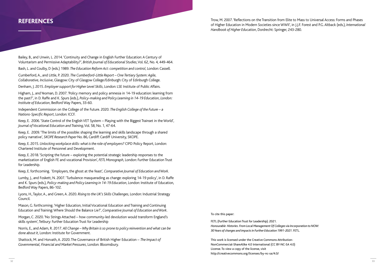Bailey, B., and Unwin, L. 2014. 'Continuity and Change in English Further Education: A Century of Voluntarism and Permissive Adaptability?', *British Journal of Educational Studies*, Vol. 62, No. 4, 449-464.

Bash, L. and Coulby, D (eds.) 1989. *The Education Reform Act: competition and control*, London: Cassell.

Cumberford, A., and Little, P. 2020. *The Cumberford-Little Report – One Tertiary System: Agile, Collaborative, Inclusive*, Glasgow: City of Glasgow College/Edinburgh: City of Edinburgh College.

Denham, J. 2015. *Employer support for Higher Level Skills*, London: LSE Institute of Public Affairs.

Higham, J., and Yeoman, D. 2007. 'Policy memory and policy amnesia in 14-19 education: learning from the past?', in D. Raffe and K. Spurs (eds.), *Policy-making and Policy Learning in 14-19 Education, London: Institute of Education*, Bedford Way Papers, 33-60.

Independent Commission on the College of the Future. 2020. *The English College of the Future – a Nations-Specific Report*, London: ICCF.

Keep, E. 2006. 'State Control of the English VET System – Playing with the Biggest Trainset in the World', *Journal of Vocational Education and Training*, Vol. 58, No. 1, 47-64.

Keep, E. 2009. 'The limits of the possible: shaping the learning and skills landscape through a shared policy narrative', *SKOPE Research Paper* No. 86, Cardiff: Cardiff University, SKOPE.

Keep, E. 2015. *Unlocking workplace skills: what is the role of employers?* CIPD Policy Report, London: Chartered Institute of Personnel and Development.

**REFERENCES** Trow, M. 2007. 'Reflections on the Transition from Elite to Mass to Universal Access: Forms and Phases of Higher Education in Modern Societies since WWII', in J.J.F. Forest and P.G. Altback (eds.), *International Handbook of Higher Education*, Dordrecht: Springer, 243-280.

Keep, E. 2018. 'Scripting the future – exploring the potential strategic leadership responses to the marketization of English FE and vocational Provision', *FETL Monograph*, London: Further Education Trust for Leadership.

Keep, E. forthcoming. 'Employers, the ghost at the feast', *Comparative Journal of Education and Work*.

Lumby, J., and Foskett, N. 2007. 'Turbulence masquerading as change: exploring 14-19 policy', in D. Raffe and K. Spurs (eds.), *Policy-making and Policy Learning in 14-19 Education*, London: Institute of Education, Bedford Way Papers, 86-102.

Lyons, H., Taylor, A., and Green, A. 2020. *Rising to the UK's Skills Challenges*, London: Industrial Strategy Council.

Mason, G. forthcoming. 'Higher Education, Initial Vocational Education and Training and Continuing Education and Training: Where Should the Balance Lie?', *Comparative Journal of Education and Work*.

Morgan, C. 2020. 'No Strings Attached – how community-led devolution would transform England's skills system', Tetbury: Further Education Trust for Leadership

Norris, E., and Adam, R. 2017. *All Change – Why Britain is so prone to policy reinvention and what can be done about it*, London: Institute for Government.

Shattock, M. and Horvath, A. 2020. The Governance of British Higher Education – *The Impact of Governmental, Financial and Market Pressures*, London: Bloomsbury.

This work is licensed under the Creative Commons Attribution-NonCommercial-ShareAlike 4.0 International (CC BY-NC-SA 4.0) License. To view a copy of the license, visit http://creativecommons.org/licenses/by-nc-sa/4.0/

To cite this paper:

FETL (Further Education Trust for Leadership). 2021. *Honourable Histories. From Local Management Of Colleges via Incorporation to NOW: 30 Years of changes and impacts in Further Education 1991-2021.* FETL.